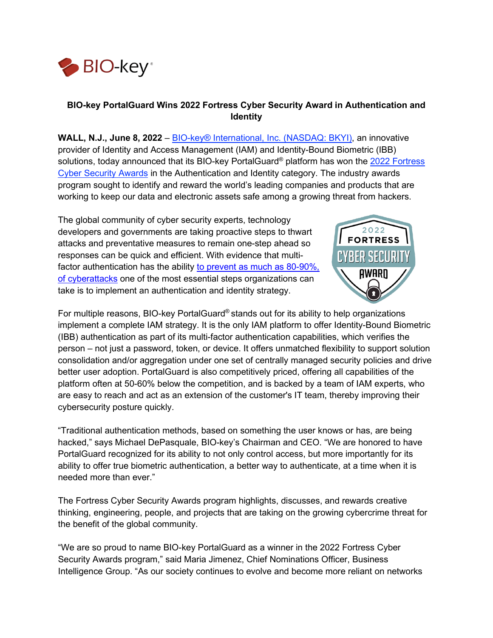

# **BIO-key PortalGuard Wins 2022 Fortress Cyber Security Award in Authentication and Identity**

**WALL, N.J., June 8, 2022** – BIO-key® International, Inc. (NASDAQ: BKYI), an innovative provider of Identity and Access Management (IAM) and Identity-Bound Biometric (IBB) solutions, today announced that its BIO-key PortalGuard® platform has won the 2022 Fortress Cyber Security Awards in the Authentication and Identity category. The industry awards program sought to identify and reward the world's leading companies and products that are working to keep our data and electronic assets safe among a growing threat from hackers.

The global community of cyber security experts, technology developers and governments are taking proactive steps to thwart attacks and preventative measures to remain one-step ahead so responses can be quick and efficient. With evidence that multifactor authentication has the ability to prevent as much as 80-90%, of cyberattacks one of the most essential steps organizations can take is to implement an authentication and identity strategy.



For multiple reasons, BIO-key PortalGuard® stands out for its ability to help organizations implement a complete IAM strategy. It is the only IAM platform to offer Identity-Bound Biometric (IBB) authentication as part of its multi-factor authentication capabilities, which verifies the person – not just a password, token, or device. It offers unmatched flexibility to support solution consolidation and/or aggregation under one set of centrally managed security policies and drive better user adoption. PortalGuard is also competitively priced, offering all capabilities of the platform often at 50-60% below the competition, and is backed by a team of IAM experts, who are easy to reach and act as an extension of the customer's IT team, thereby improving their cybersecurity posture quickly.

"Traditional authentication methods, based on something the user knows or has, are being hacked," says Michael DePasquale, BIO-key's Chairman and CEO. "We are honored to have PortalGuard recognized for its ability to not only control access, but more importantly for its ability to offer true biometric authentication, a better way to authenticate, at a time when it is needed more than ever."

The Fortress Cyber Security Awards program highlights, discusses, and rewards creative thinking, engineering, people, and projects that are taking on the growing cybercrime threat for the benefit of the global community.

"We are so proud to name BIO-key PortalGuard as a winner in the 2022 Fortress Cyber Security Awards program," said Maria Jimenez, Chief Nominations Officer, Business Intelligence Group. "As our society continues to evolve and become more reliant on networks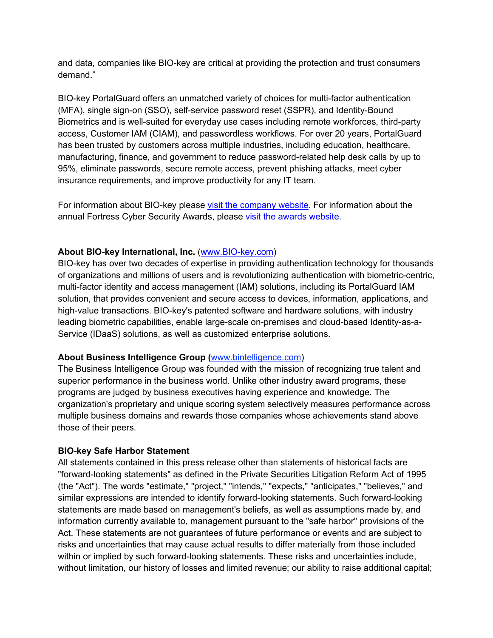and data, companies like BIO-key are critical at providing the protection and trust consumers demand."

BIO-key PortalGuard offers an unmatched variety of choices for multi-factor authentication (MFA), single sign-on (SSO), self-service password reset (SSPR), and Identity-Bound Biometrics and is well-suited for everyday use cases including remote workforces, third-party access, Customer IAM (CIAM), and passwordless workflows. For over 20 years, PortalGuard has been trusted by customers across multiple industries, including education, healthcare, manufacturing, finance, and government to reduce password-related help desk calls by up to 95%, eliminate passwords, secure remote access, prevent phishing attacks, meet cyber insurance requirements, and improve productivity for any IT team.

For information about BIO-key please visit [the company website.](https://www.bio-key.com/portalguard/) For information about the annual Fortress Cyber Security Awards, please [visit the awards website.](https://www.bintelligence.com/fortress-cyber-security-awards)

## **About BIO-key International, Inc.** [\(www.BIO-key.com\)](https://www.bio-key.com/)

BIO-key has over two decades of expertise in providing authentication technology for thousands of organizations and millions of users and is revolutionizing authentication with biometric-centric, multi-factor identity and access management (IAM) solutions, including its PortalGuard IAM solution, that provides convenient and secure access to devices, information, applications, and high-value transactions. BIO-key's patented software and hardware solutions, with industry leading biometric capabilities, enable large-scale on-premises and cloud-based Identity-as-a-Service (IDaaS) solutions, as well as customized enterprise solutions.

## **About Business Intelligence Group (**[www.bintelligence.com\)](http://www.bintelligence.com/)

The Business Intelligence Group was founded with the mission of recognizing true talent and superior performance in the business world. Unlike other industry award programs, these programs are judged by business executives having experience and knowledge. The organization's proprietary and unique scoring system selectively measures performance across multiple business domains and rewards those companies whose achievements stand above those of their peers.

## **BIO-key Safe Harbor Statement**

All statements contained in this press release other than statements of historical facts are "forward-looking statements" as defined in the Private Securities Litigation Reform Act of 1995 (the "Act"). The words "estimate," "project," "intends," "expects," "anticipates," "believes," and similar expressions are intended to identify forward-looking statements. Such forward-looking statements are made based on management's beliefs, as well as assumptions made by, and information currently available to, management pursuant to the "safe harbor" provisions of the Act. These statements are not guarantees of future performance or events and are subject to risks and uncertainties that may cause actual results to differ materially from those included within or implied by such forward-looking statements. These risks and uncertainties include, without limitation, our history of losses and limited revenue; our ability to raise additional capital;